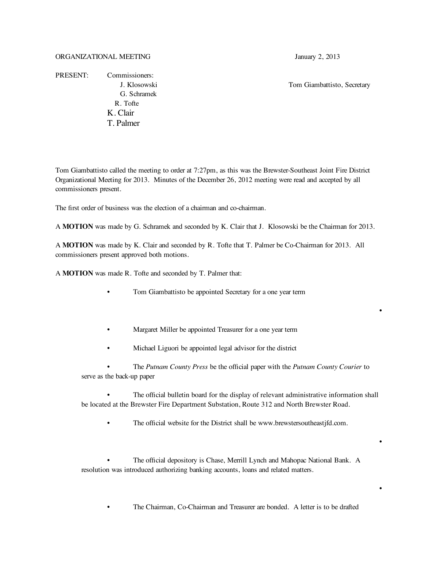PRESENT: Commissioners: G. Schramek R. Tofte K. Clair T. Palmer

J. Klosowski Tom Giambattisto, Secretary

•

•

•

Tom Giambattisto called the meeting to order at 7:27pm, as this was the Brewster-Southeast Joint Fire District Organizational Meeting for 2013. Minutes of the December 26, 2012 meeting were read and accepted by all commissioners present.

The first order of business was the election of a chairman and co-chairman.

A **MOTION** was made by G. Schramek and seconded by K. Clair that J. Klosowski be the Chairman for 2013.

A **MOTION** was made by K. Clair and seconded by R. Tofte that T. Palmer be Co-Chairman for 2013. All commissioners present approved both motions.

A **MOTION** was made R. Tofte and seconded by T. Palmer that:

- Tom Giambattisto be appointed Secretary for a one year term
- Margaret Miller be appointed Treasurer for a one year term
- Michael Liguori be appointed legal advisor for the district

• The *Putnam County Press* be the official paper with the *Putnam County Courier* to serve as the back-up paper

The official bulletin board for the display of relevant administrative information shall be located at the Brewster Fire Department Substation, Route 312 and North Brewster Road.

The official website for the District shall be www.brewstersoutheastjfd.com.

• The official depository is Chase, Merrill Lynch and Mahopac National Bank. A resolution was introduced authorizing banking accounts, loans and related matters.

• The Chairman, Co-Chairman and Treasurer are bonded. A letter is to be drafted